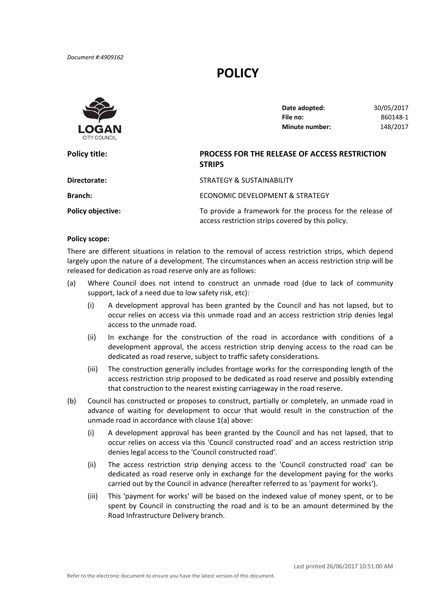*Document #:4909162*

## **POLICY**



**Date adopted:** 30/05/2017 **File no:** 860148‐1 **Minute number:** 148/2017

| Policy title:            | PROCESS FOR THE RELEASE OF ACCESS RESTRICTION<br><b>STRIPS</b>                                                 |  |
|--------------------------|----------------------------------------------------------------------------------------------------------------|--|
| Directorate:             | STRATEGY & SUSTAINABILITY                                                                                      |  |
| <b>Branch:</b>           | ECONOMIC DEVELOPMENT & STRATEGY                                                                                |  |
| <b>Policy objective:</b> | To provide a framework for the process for the release of<br>access restriction strips covered by this policy. |  |

## **Policy scope:**

There are different situations in relation to the removal of access restriction strips, which depend largely upon the nature of a development. The circumstances when an access restriction strip will be released for dedication as road reserve only are as follows:

- (a) Where Council does not intend to construct an unmade road (due to lack of community support, lack of a need due to low safety risk, etc):
	- (i) A development approval has been granted by the Council and has not lapsed, but to occur relies on access via this unmade road and an access restriction strip denies legal access to the unmade road.
	- (ii) In exchange for the construction of the road in accordance with conditions of a development approval, the access restriction strip denying access to the road can be dedicated as road reserve, subject to traffic safety considerations.
	- (iii) The construction generally includes frontage works for the corresponding length of the access restriction strip proposed to be dedicated as road reserve and possibly extending that construction to the nearest existing carriageway in the road reserve.
- (b) Council has constructed or proposes to construct, partially or completely, an unmade road in advance of waiting for development to occur that would result in the construction of the unmade road in accordance with clause 1(a) above:
	- (i) A development approval has been granted by the Council and has not lapsed, that to occur relies on access via this 'Council constructed road' and an access restriction strip denies legal access to the 'Council constructed road'.
	- (ii) The access restriction strip denying access to the 'Council constructed road' can be dedicated as road reserve only in exchange for the development paying for the works carried out by the Council in advance (hereafter referred to as 'payment for works').
	- (iii) This 'payment for works' will be based on the indexed value of money spent, or to be spent by Council in constructing the road and is to be an amount determined by the Road Infrastructure Delivery branch.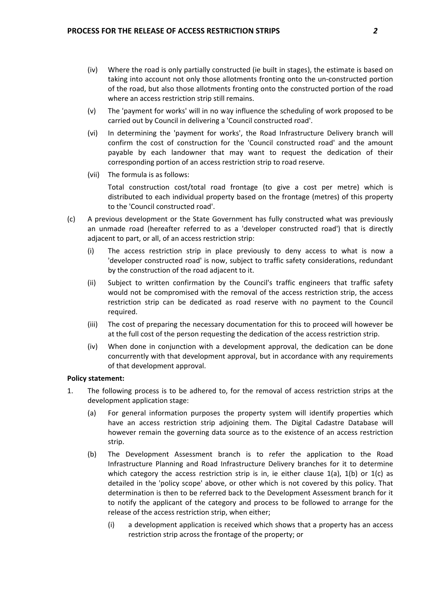- (iv) Where the road is only partially constructed (ie built in stages), the estimate is based on taking into account not only those allotments fronting onto the un‐constructed portion of the road, but also those allotments fronting onto the constructed portion of the road where an access restriction strip still remains.
- (v) The 'payment for works' will in no way influence the scheduling of work proposed to be carried out by Council in delivering a 'Council constructed road'.
- (vi) In determining the 'payment for works', the Road Infrastructure Delivery branch will confirm the cost of construction for the 'Council constructed road' and the amount payable by each landowner that may want to request the dedication of their corresponding portion of an access restriction strip to road reserve.
- (vii) The formula is as follows:

Total construction cost/total road frontage (to give a cost per metre) which is distributed to each individual property based on the frontage (metres) of this property to the 'Council constructed road'.

- (c) A previous development or the State Government has fully constructed what was previously an unmade road (hereafter referred to as a 'developer constructed road') that is directly adjacent to part, or all, of an access restriction strip:
	- (i) The access restriction strip in place previously to deny access to what is now a 'developer constructed road' is now, subject to traffic safety considerations, redundant by the construction of the road adjacent to it.
	- (ii) Subject to written confirmation by the Council's traffic engineers that traffic safety would not be compromised with the removal of the access restriction strip, the access restriction strip can be dedicated as road reserve with no payment to the Council required.
	- (iii) The cost of preparing the necessary documentation for this to proceed will however be at the full cost of the person requesting the dedication of the access restriction strip.
	- (iv) When done in conjunction with a development approval, the dedication can be done concurrently with that development approval, but in accordance with any requirements of that development approval.

## **Policy statement:**

- 1. The following process is to be adhered to, for the removal of access restriction strips at the development application stage:
	- (a) For general information purposes the property system will identify properties which have an access restriction strip adjoining them. The Digital Cadastre Database will however remain the governing data source as to the existence of an access restriction strip.
	- (b) The Development Assessment branch is to refer the application to the Road Infrastructure Planning and Road Infrastructure Delivery branches for it to determine which category the access restriction strip is in, ie either clause  $1(a)$ ,  $1(b)$  or  $1(c)$  as detailed in the 'policy scope' above, or other which is not covered by this policy. That determination is then to be referred back to the Development Assessment branch for it to notify the applicant of the category and process to be followed to arrange for the release of the access restriction strip, when either;
		- (i) a development application is received which shows that a property has an access restriction strip across the frontage of the property; or